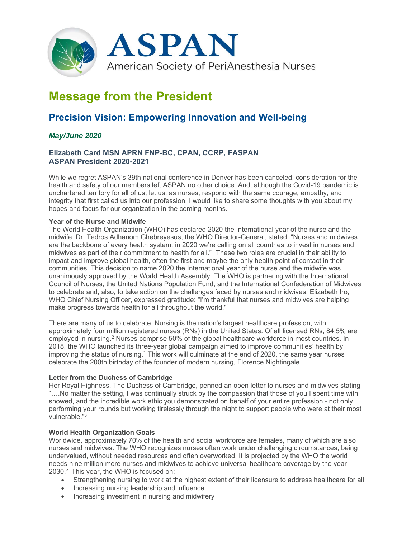

# **Message from the President**

# **Precision Vision: Empowering Innovation and Well-being**

## *May/June 2020*

### **Elizabeth Card MSN APRN FNP-BC, CPAN, CCRP, FASPAN ASPAN President 2020-2021**

While we regret ASPAN's 39th national conference in Denver has been canceled, consideration for the health and safety of our members left ASPAN no other choice. And, although the Covid-19 pandemic is unchartered territory for all of us, let us, as nurses, respond with the same courage, empathy, and integrity that first called us into our profession. I would like to share some thoughts with you about my hopes and focus for our organization in the coming months.

#### **Year of the Nurse and Midwife**

The World Health Organization (WHO) has declared 2020 the International year of the nurse and the midwife. Dr. Tedros Adhanom Ghebreyesus, the WHO Director-General, stated: "Nurses and midwives are the backbone of every health system: in 2020 we're calling on all countries to invest in nurses and midwives as part of their commitment to health for all."1 These two roles are crucial in their ability to impact and improve global health, often the first and maybe the only health point of contact in their communities. This decision to name 2020 the International year of the nurse and the midwife was unanimously approved by the World Health Assembly. The WHO is partnering with the International Council of Nurses, the United Nations Population Fund, and the International Confederation of Midwives to celebrate and, also, to take action on the challenges faced by nurses and midwives. Elizabeth Iro, WHO Chief Nursing Officer, expressed gratitude: "I'm thankful that nurses and midwives are helping make progress towards health for all throughout the world."1

There are many of us to celebrate. Nursing is the nation's largest healthcare profession, with approximately four million registered nurses (RNs) in the United States. Of all licensed RNs, 84.5% are employed in nursing.<sup>2</sup> Nurses comprise 50% of the global healthcare workforce in most countries. In 2018, the WHO launched its three-year global campaign aimed to improve communities' health by improving the status of nursing.<sup>1</sup> This work will culminate at the end of 2020, the same year nurses celebrate the 200th birthday of the founder of modern nursing, Florence Nightingale.

#### **Letter from the Duchess of Cambridge**

Her Royal Highness, The Duchess of Cambridge, penned an open letter to nurses and midwives stating "….No matter the setting, I was continually struck by the compassion that those of you I spent time with showed, and the incredible work ethic you demonstrated on behalf of your entire profession - not only performing your rounds but working tirelessly through the night to support people who were at their most vulnerable<sup>"3</sup>

#### **World Health Organization Goals**

Worldwide, approximately 70% of the health and social workforce are females, many of which are also nurses and midwives. The WHO recognizes nurses often work under challenging circumstances, being undervalued, without needed resources and often overworked. It is projected by the WHO the world needs nine million more nurses and midwives to achieve universal healthcare coverage by the year 2030.1 This year, the WHO is focused on:

- Strengthening nursing to work at the highest extent of their licensure to address healthcare for all
- Increasing nursing leadership and influence
- Increasing investment in nursing and midwifery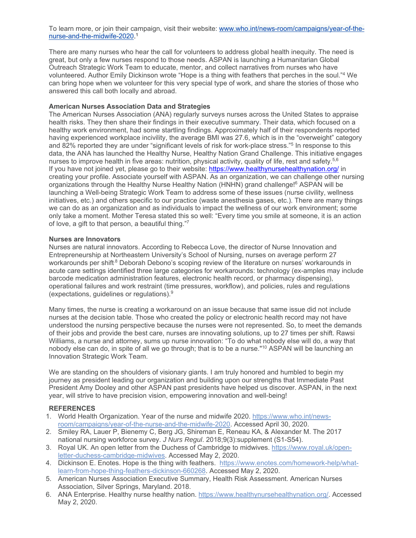To learn more, or join their campaign, visit their website: www.who.int/news-room/campaigns/year-of-thenurse-and-the-midwife-2020. 1

There are many nurses who hear the call for volunteers to address global health inequity. The need is great, but only a few nurses respond to those needs. ASPAN is launching a Humanitarian Global Outreach Strategic Work Team to educate, mentor, and collect narratives from nurses who have volunteered. Author Emily Dickinson wrote "Hope is a thing with feathers that perches in the soul."4 We can bring hope when we volunteer for this very special type of work, and share the stories of those who answered this call both locally and abroad.

#### **American Nurses Association Data and Strategies**

The American Nurses Association (ANA) regularly surveys nurses across the United States to appraise health risks. They then share their findings in their executive summary. Their data, which focused on a healthy work environment, had some startling findings. Approximately half of their respondents reported having experienced workplace incivility, the average BMI was 27.6, which is in the "overweight" category and 82% reported they are under "significant levels of risk for work-place stress."5 In response to this data, the ANA has launched the Healthy Nurse, Healthy Nation Grand Challenge. This initiative engages nurses to improve health in five areas: nutrition, physical activity, quality of life, rest and safety.<sup>5,6</sup> If you have not joined yet, please go to their website: https://www.healthynursehealthynation.org/ in creating your profile. Associate yourself with ASPAN. As an organization, we can challenge other nursing organizations through the Healthy Nurse Healthy Nation (HNHN) grand challenge!<sup>6</sup> ASPAN will be launching a Well-being Strategic Work Team to address some of these issues (nurse civility, wellness initiatives, etc.) and others specific to our practice (waste anesthesia gases, etc.). There are many things we can do as an organization and as individuals to impact the wellness of our work environment; some only take a moment. Mother Teresa stated this so well: "Every time you smile at someone, it is an action of love, a gift to that person, a beautiful thing."7

#### **Nurses are Innovators**

Nurses are natural innovators. According to Rebecca Love, the director of Nurse Innovation and Entrepreneurship at Northeastern University's School of Nursing, nurses on average perform 27 workarounds per shift.<sup>8</sup> Deborah Debono's scoping review of the literature on nurses' workarounds in acute care settings identified three large categories for workarounds: technology (ex-amples may include barcode medication administration features, electronic health record, or pharmacy dispensing), operational failures and work restraint (time pressures, workflow), and policies, rules and regulations (expectations, guidelines or regulations).9

Many times, the nurse is creating a workaround on an issue because that same issue did not include nurses at the decision table. Those who created the policy or electronic health record may not have understood the nursing perspective because the nurses were not represented. So, to meet the demands of their jobs and provide the best care, nurses are innovating solutions, up to 27 times per shift. Rawsi Williams, a nurse and attorney, sums up nurse innovation: "To do what nobody else will do, a way that nobody else can do, in spite of all we go through; that is to be a nurse."<sup>10</sup> ASPAN will be launching an Innovation Strategic Work Team.

We are standing on the shoulders of visionary giants. I am truly honored and humbled to begin my journey as president leading our organization and building upon our strengths that Immediate Past President Amy Dooley and other ASPAN past presidents have helped us discover. ASPAN, in the next year, will strive to have precision vision, empowering innovation and well-being!

#### **REFERENCES**

- 1. World Health Organization. Year of the nurse and midwife 2020. https://www.who.int/newsroom/campaigns/year-of-the-nurse-and-the-midwife-2020. Accessed April 30, 2020.
- 2. Smiley RA, Lauer P, Bienemy C, Berg JG, Shireman E, Reneau KA, & Alexander M. The 2017 national nursing workforce survey. *J Nurs Regul*. 2018;9(3):supplement (S1-S54).
- 3. Royal UK. An open letter from the Duchess of Cambridge to midwives. https://www.royal.uk/openletter-duchess-cambridge-midwives. Accessed May 2, 2020.
- 4. Dickinson E. Enotes. Hope is the thing with feathers. https://www.enotes.com/homework-help/whatlearn-from-hope-thing-feathers-dickinson-660268. Accessed May 2, 2020.
- 5. American Nurses Association Executive Summary, Health Risk Assessment. American Nurses Association, Silver Springs, Maryland. 2018.
- 6. ANA Enterprise. Healthy nurse healthy nation. https://www.healthynursehealthynation.org/. Accessed May 2, 2020.